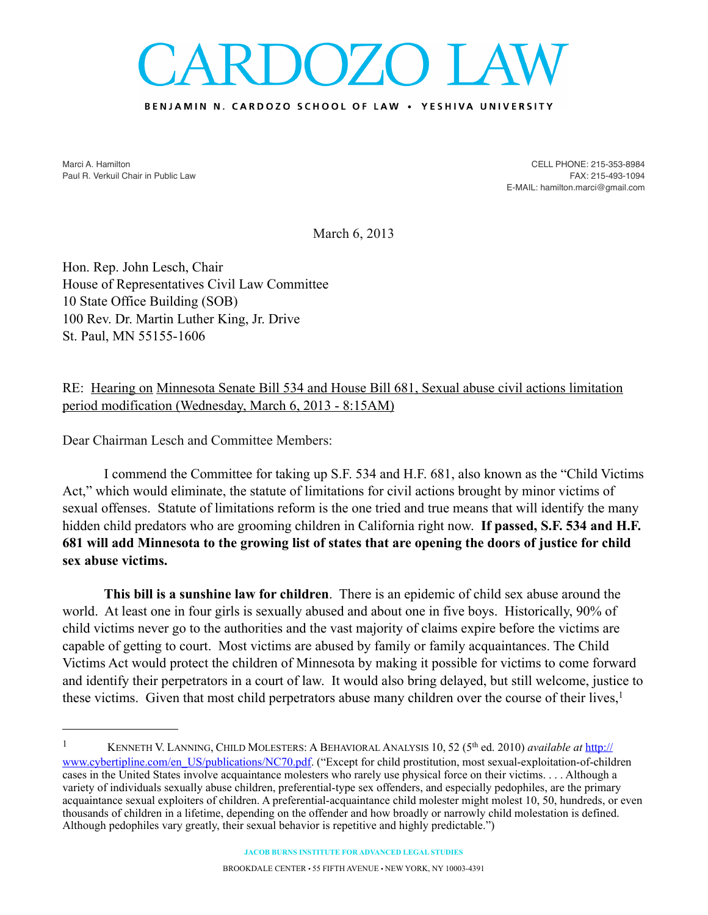## DOZO LA

## BENJAMIN N. CARDOZO SCHOOL OF LAW . YESHIVA UNIVERSITY

Marci A. Hamilton Paul R. Verkuil Chair in Public Law

CELL PHONE: 215-353-8984 FAX: 215-493-1094 E-MAIL: hamilton.marci@gmail.com

March 6, 2013

Hon. Rep. John Lesch, Chair House of Representatives Civil Law Committee 10 State Office Building (SOB) 100 Rev. Dr. Martin Luther King, Jr. Drive St. Paul, MN 55155-1606

RE: Hearing on Minnesota Senate Bill 534 and House Bill 681, Sexual abuse civil actions limitation period modification (Wednesday, March 6, 2013 - 8:15AM)

Dear Chairman Lesch and Committee Members:

I commend the Committee for taking up S.F. 534 and H.F. 681, also known as the "Child Victims Act," which would eliminate, the statute of limitations for civil actions brought by minor victims of sexual offenses. Statute of limitations reform is the one tried and true means that will identify the many hidden child predators who are grooming children in California right now. **If passed, S.F. 534 and H.F. 681 will add Minnesota to the growing list of states that are opening the doors of justice for child sex abuse victims.**

**This bill is a sunshine law for children**. There is an epidemic of child sex abuse around the world. At least one in four girls is sexually abused and about one in five boys. Historically, 90% of child victims never go to the authorities and the vast majority of claims expire before the victims are capable of getting to court. Most victims are abused by family or family acquaintances. The Child Victims Act would protect the children of Minnesota by making it possible for victims to come forward and identify their perpetrators in a court of law. It would also bring delayed, but still welcome, justice to these victims. Given that most child perpetrators abuse many children over the course of their lives,<sup>1</sup>

<span id="page-0-0"></span><sup>1</sup> KENNETH V. LANNING, CHILD MOLESTERS: A BEHAVIORAL ANALYSIS 10, 52 (5th ed. 2010) *available at* [http://](http://www.cybertipline.com/en_US/publications/NC70.pdf#_blank) [www.cybertipline.com/en\\_US/publications/NC70.pdf](http://www.cybertipline.com/en_US/publications/NC70.pdf#_blank). ("Except for child prostitution, most sexual-exploitation-of-children cases in the United States involve acquaintance molesters who rarely use physical force on their victims. . . . Although a variety of individuals sexually abuse children, preferential-type sex offenders, and especially pedophiles, are the primary acquaintance sexual exploiters of children. A preferential-acquaintance child molester might molest 10, 50, hundreds, or even thousands of children in a lifetime, depending on the offender and how broadly or narrowly child molestation is defined. Although pedophiles vary greatly, their sexual behavior is repetitive and highly predictable.")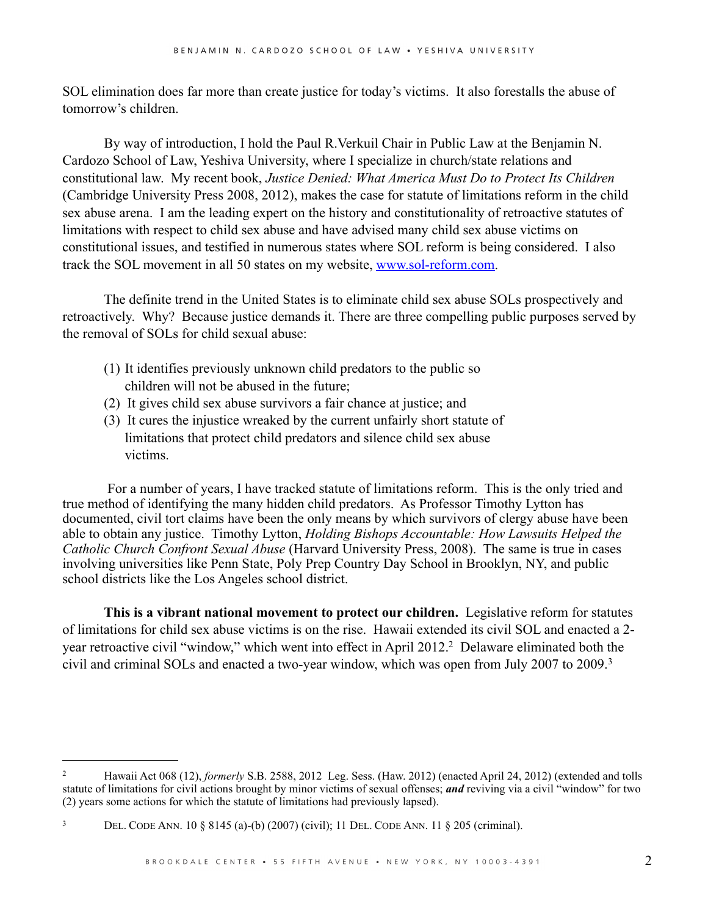SOL elimination does far more than create justice for today's victims. It also forestalls the abuse of tomorrow's children.

By way of introduction, I hold the Paul R.Verkuil Chair in Public Law at the Benjamin N. Cardozo School of Law, Yeshiva University, where I specialize in church/state relations and constitutional law. My recent book, *Justice Denied: What America Must Do to Protect Its Children* (Cambridge University Press 2008, 2012), makes the case for statute of limitations reform in the child sex abuse arena. I am the leading expert on the history and constitutionality of retroactive statutes of limitations with respect to child sex abuse and have advised many child sex abuse victims on constitutional issues, and testified in numerous states where SOL reform is being considered. I also track the SOL movement in all 50 states on my website, [www.sol-reform.com](http://www.sol-reform.com).

The definite trend in the United States is to eliminate child sex abuse SOLs prospectively and retroactively. Why? Because justice demands it. There are three compelling public purposes served by the removal of SOLs for child sexual abuse:

- (1) It identifies previously unknown child predators to the public so children will not be abused in the future;
- (2) It gives child sex abuse survivors a fair chance at justice; and
- (3) It cures the injustice wreaked by the current unfairly short statute of limitations that protect child predators and silence child sex abuse victims.

 For a number of years, I have tracked statute of limitations reform. This is the only tried and true method of identifying the many hidden child predators. As Professor Timothy Lytton has documented, civil tort claims have been the only means by which survivors of clergy abuse have been able to obtain any justice. Timothy Lytton, *Holding Bishops Accountable: How Lawsuits Helped the Catholic Church Confront Sexual Abuse* (Harvard University Press, 2008). The same is true in cases involving universities like Penn State, Poly Prep Country Day School in Brooklyn, NY, and public school districts like the Los Angeles school district.

**This is a vibrant national movement to protect our children.** Legislative reform for statutes of limitations for child sex abuse victims is on the rise. Hawaii extended its civil SOL and enacted a 2 year retroactive civil "window," which went into effect in April 2012.<sup>2</sup> Delaware eliminated both the civil and criminal SOLs and enacted a two-year window, which was open from July 2007 to 2009.[3](#page-1-1) 

<span id="page-1-0"></span><sup>&</sup>lt;sup>2</sup> Hawaii Act 068 (12), *formerly* S.B. 2588, 2012 Leg. Sess. (Haw. 2012) (enacted April 24, 2012) (extended and tolls statute of limitations for civil actions brought by minor victims of sexual offenses; *and* reviving via a civil "window" for two (2) years some actions for which the statute of limitations had previously lapsed).

<span id="page-1-1"></span><sup>3</sup> DEL. CODE ANN. 10 § 8145 (a)-(b) (2007) (civil); 11 DEL. CODE ANN. 11 § 205 (criminal).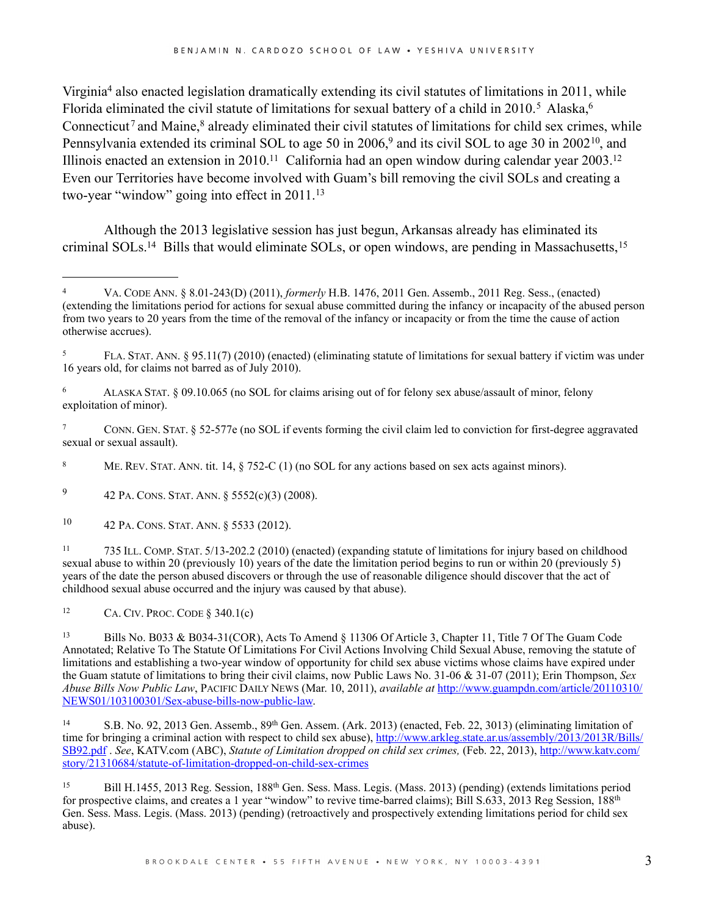Virgini[a4](#page-2-0) also enacted legislation dramatically extending its civil statutes of limitations in 2011, while Florida eliminated the civil statute of limitations for sexual battery of a child in 2010.<sup>5</sup> Alaska,<sup>6</sup> Connecticut<sup>[7](#page-2-3)</sup> and Maine,<sup>8</sup> already eliminated their civil statutes of limitations for child sex crimes, while Pennsylvania extended its criminal SOL to age 50 in 2006,<sup>9</sup> and its civil SOL to age 30 in 2002<sup>10</sup>, and Illinois enacted an extension in 2010[.11](#page-2-7) California had an open window during calendar year 2003[.12](#page-2-8) Even our Territories have become involved with Guam's bill removing the civil SOLs and creating a two-year "window" going into effect in 2011.[13](#page-2-9) 

Although the 2013 legislative session has just begun, Arkansas already has eliminated its criminal SOLs.<sup>14</sup> Bills that would eliminate SOLs, or open windows, are pending in Massachusetts,<sup>[15](#page-2-11)</sup>

<span id="page-2-3"></span>7 CONN. GEN. STAT. § 52-577e (no SOL if events forming the civil claim led to conviction for first-degree aggravated sexual or sexual assault).

<span id="page-2-4"></span>8 ME. REV. STAT. ANN. tit. 14, § 752-C (1) (no SOL for any actions based on sex acts against minors).

<span id="page-2-5"></span>9 42 PA. CONS. STAT. ANN. § 5552(c)(3) (2008).

<span id="page-2-6"></span>10 42 PA. CONS. STAT. ANN. § 5533 (2012).

<span id="page-2-7"></span>11 735 ILL. COMP. STAT. 5/13-202.2 (2010) (enacted) (expanding statute of limitations for injury based on childhood sexual abuse to within 20 (previously 10) years of the date the limitation period begins to run or within 20 (previously 5) years of the date the person abused discovers or through the use of reasonable diligence should discover that the act of childhood sexual abuse occurred and the injury was caused by that abuse).

<span id="page-2-8"></span><sup>12</sup> CA. CIV. PROC. CODE  $§$  340.1(c)

<span id="page-2-10"></span>14 S.B. No. 92, 2013 Gen. Assemb., 89th Gen. Assem. (Ark. 2013) (enacted, Feb. 22, 3013) (eliminating limitation of time for bringing a criminal action with respect to child sex abuse), [http://www.arkleg.state.ar.us/assembly/2013/2013R/Bills/](http://www.arkleg.state.ar.us/assembly/2013/2013R/Bills/SB92.pdf) [SB92.pdf](http://www.arkleg.state.ar.us/assembly/2013/2013R/Bills/SB92.pdf) . *See*, KATV.com (ABC), *Statute of Limitation dropped on child sex crimes,* (Feb. 22, 2013), [http://www.katv.com/](http://www.katv.com/story/21310684/statute-of-limitation-dropped-on-child-sex-crimes) [story/21310684/statute-of-limitation-dropped-on-child-sex-crimes](http://www.katv.com/story/21310684/statute-of-limitation-dropped-on-child-sex-crimes)

<span id="page-2-11"></span>15 Bill H.1455, 2013 Reg. Session, 188th Gen. Sess. Mass. Legis. (Mass. 2013) (pending) (extends limitations period for prospective claims, and creates a 1 year "window" to revive time-barred claims); Bill S.633, 2013 Reg Session, 188th Gen. Sess. Mass. Legis. (Mass. 2013) (pending) (retroactively and prospectively extending limitations period for child sex abuse).

<span id="page-2-0"></span><sup>4</sup> VA. CODE ANN. § 8.01-243(D) (2011), *formerly* H.B. 1476, 2011 Gen. Assemb., 2011 Reg. Sess., (enacted) (extending the limitations period for actions for sexual abuse committed during the infancy or incapacity of the abused person from two years to 20 years from the time of the removal of the infancy or incapacity or from the time the cause of action otherwise accrues).

<span id="page-2-1"></span><sup>5</sup> FLA. STAT. ANN. § 95.11(7) (2010) (enacted) (eliminating statute of limitations for sexual battery if victim was under 16 years old, for claims not barred as of July 2010).

<span id="page-2-2"></span><sup>6</sup> ALASKA STAT. § 09.10.065 (no SOL for claims arising out of for felony sex abuse/assault of minor, felony exploitation of minor).

<span id="page-2-9"></span><sup>13</sup> Bills No. B033 & B034-31(COR), Acts To Amend § 11306 Of Article 3, Chapter 11, Title 7 Of The Guam Code Annotated; Relative To The Statute Of Limitations For Civil Actions Involving Child Sexual Abuse, removing the statute of limitations and establishing a two-year window of opportunity for child sex abuse victims whose claims have expired under the Guam statute of limitations to bring their civil claims, now Public Laws No. 31-06 & 31-07 (2011); Erin Thompson, *Sex Abuse Bills Now Public Law*, PACIFIC DAILY NEWS (Mar. 10, 2011), *available at* [http://www.guampdn.com/article/20110310/](http://www.guampdn.com/article/20110310/NEWS01/103100301/Sex-abuse-bills-now-public-law) [NEWS01/103100301/Sex-abuse-bills-now-public-law.](http://www.guampdn.com/article/20110310/NEWS01/103100301/Sex-abuse-bills-now-public-law)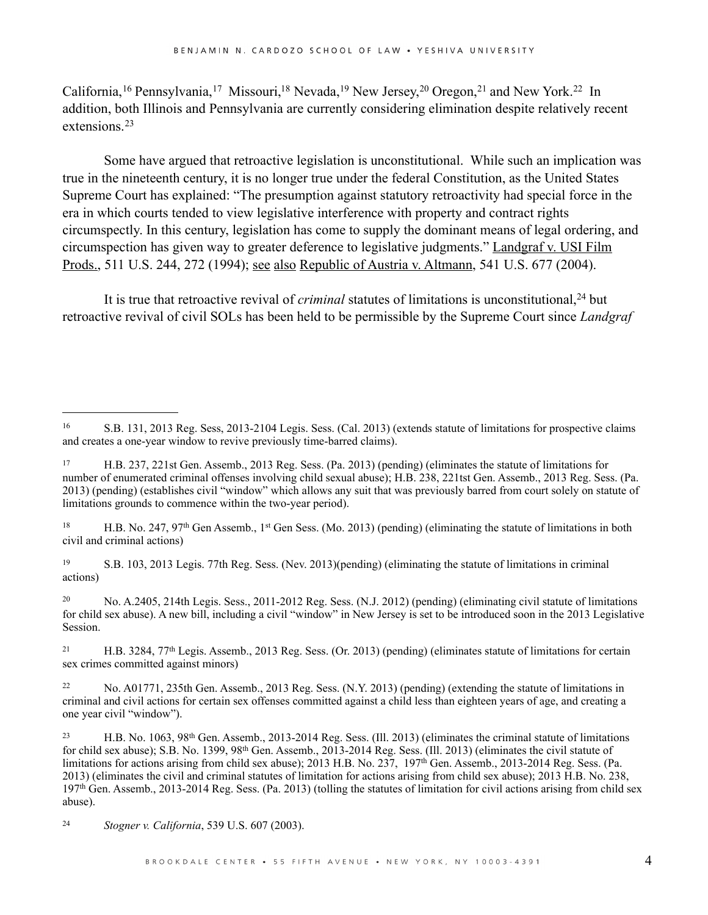California,<sup>16</sup> Pennsylvania,<sup>17</sup> Missouri,<sup>18</sup> Nevada,<sup>19</sup> New Jersey,<sup>20</sup> Oregon,<sup>21</sup> and New York.<sup>22</sup> In addition, both Illinois and Pennsylvania are currently considering elimination despite relatively recent extensions.[23](#page-3-7)

Some have argued that retroactive legislation is unconstitutional. While such an implication was true in the nineteenth century, it is no longer true under the federal Constitution, as the United States Supreme Court has explained: "The presumption against statutory retroactivity had special force in the era in which courts tended to view legislative interference with property and contract rights circumspectly. In this century, legislation has come to supply the dominant means of legal ordering, and circumspection has given way to greater deference to legislative judgments." Landgraf v. USI Film Prods., 511 U.S. 244, 272 (1994); see also Republic of Austria v. Altmann, 541 U.S. 677 (2004).

It is true that retroactive revival of *criminal* statutes of limitations is unconstitutional,<sup>24</sup> but retroactive revival of civil SOLs has been held to be permissible by the Supreme Court since *Landgraf*

<span id="page-3-2"></span><sup>18</sup> H.B. No. 247, 97<sup>th</sup> Gen Assemb., 1<sup>st</sup> Gen Sess. (Mo. 2013) (pending) (eliminating the statute of limitations in both civil and criminal actions)

<span id="page-3-3"></span>19 S.B. 103, 2013 Legis. 77th Reg. Sess. (Nev. 2013)(pending) (eliminating the statute of limitations in criminal actions)

<span id="page-3-4"></span>20 No. A.2405, 214th Legis. Sess., 2011-2012 Reg. Sess. (N.J. 2012) (pending) (eliminating civil statute of limitations for child sex abuse). A new bill, including a civil "window" in New Jersey is set to be introduced soon in the 2013 Legislative Session.

<span id="page-3-5"></span>21 H.B. 3284, 77th Legis. Assemb., 2013 Reg. Sess. (Or. 2013) (pending) (eliminates statute of limitations for certain sex crimes committed against minors)

<span id="page-3-6"></span>22 No. A01771, 235th Gen. Assemb., 2013 Reg. Sess. (N.Y. 2013) (pending) (extending the statute of limitations in criminal and civil actions for certain sex offenses committed against a child less than eighteen years of age, and creating a one year civil "window").

<span id="page-3-7"></span>23 H.B. No. 1063, 98th Gen. Assemb., 2013-2014 Reg. Sess. (Ill. 2013) (eliminates the criminal statute of limitations for child sex abuse); S.B. No. 1399, 98th Gen. Assemb., 2013-2014 Reg. Sess. (Ill. 2013) (eliminates the civil statute of limitations for actions arising from child sex abuse); 2013 H.B. No. 237, 197th Gen. Assemb., 2013-2014 Reg. Sess. (Pa. 2013) (eliminates the civil and criminal statutes of limitation for actions arising from child sex abuse); 2013 H.B. No. 238, 197th Gen. Assemb., 2013-2014 Reg. Sess. (Pa. 2013) (tolling the statutes of limitation for civil actions arising from child sex abuse).

<span id="page-3-8"></span>24 *Stogner v. California*, 539 U.S. 607 (2003).

<span id="page-3-0"></span><sup>16</sup> S.B. 131, 2013 Reg. Sess, 2013-2104 Legis. Sess. (Cal. 2013) (extends statute of limitations for prospective claims and creates a one-year window to revive previously time-barred claims).

<span id="page-3-1"></span><sup>17</sup> H.B. 237, 221st Gen. Assemb., 2013 Reg. Sess. (Pa. 2013) (pending) (eliminates the statute of limitations for number of enumerated criminal offenses involving child sexual abuse); H.B. 238, 221tst Gen. Assemb., 2013 Reg. Sess. (Pa. 2013) (pending) (establishes civil "window" which allows any suit that was previously barred from court solely on statute of limitations grounds to commence within the two-year period).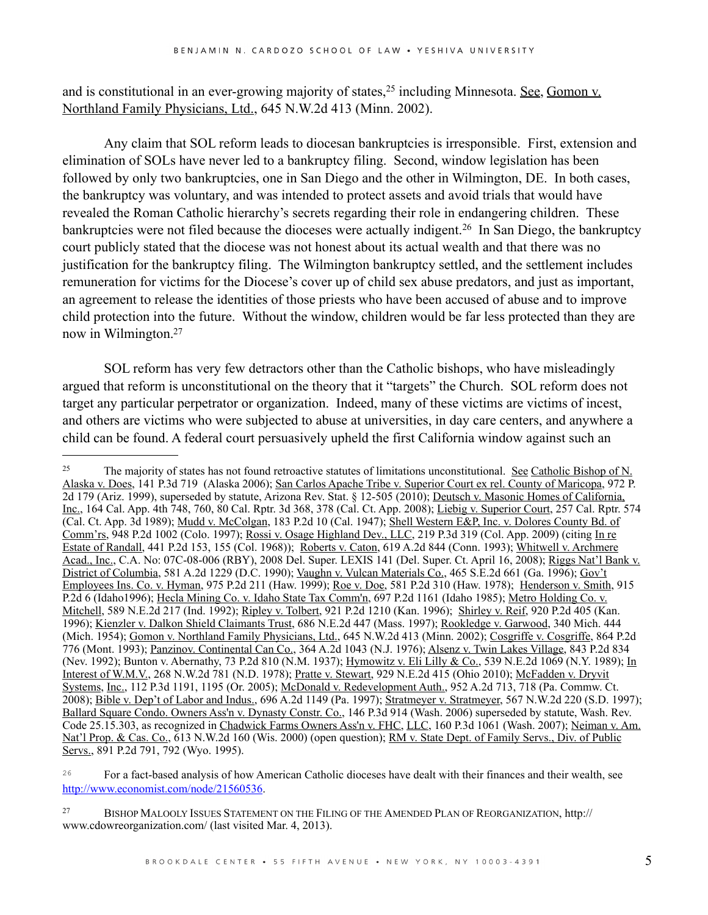and is constitutional in an ever-growing majority of states,<sup>25</sup> including Minnesota. <u>See, Gomon v.</u> Northland Family Physicians, Ltd., 645 N.W.2d 413 (Minn. 2002).

Any claim that SOL reform leads to diocesan bankruptcies is irresponsible. First, extension and elimination of SOLs have never led to a bankruptcy filing. Second, window legislation has been followed by only two bankruptcies, one in San Diego and the other in Wilmington, DE. In both cases, the bankruptcy was voluntary, and was intended to protect assets and avoid trials that would have revealed the Roman Catholic hierarchy's secrets regarding their role in endangering children. These bankruptcies were not filed because the dioceses were actually indigent.<sup>26</sup> In San Diego, the bankruptcy court publicly stated that the diocese was not honest about its actual wealth and that there was no justification for the bankruptcy filing. The Wilmington bankruptcy settled, and the settlement includes remuneration for victims for the Diocese's cover up of child sex abuse predators, and just as important, an agreement to release the identities of those priests who have been accused of abuse and to improve child protection into the future. Without the window, children would be far less protected than they are now in Wilmington[.27](#page-4-2)

SOL reform has very few detractors other than the Catholic bishops, who have misleadingly argued that reform is unconstitutional on the theory that it "targets" the Church. SOL reform does not target any particular perpetrator or organization. Indeed, many of these victims are victims of incest, and others are victims who were subjected to abuse at universities, in day care centers, and anywhere a child can be found. A federal court persuasively upheld the first California window against such an

<span id="page-4-0"></span><sup>&</sup>lt;sup>25</sup> The majority of states has not found retroactive statutes of limitations unconstitutional. <u>See Catholic Bishop of N.</u> Alaska v. Does, 141 P.3d 719 (Alaska 2006); San Carlos Apache Tribe v. Superior Court ex rel. County of Maricopa, 972 P. 2d 179 (Ariz. 1999), superseded by statute, Arizona Rev. Stat. § 12-505 (2010); Deutsch v. Masonic Homes of California, Inc., 164 Cal. App. 4th 748, 760, 80 Cal. Rptr. 3d 368, 378 (Cal. Ct. App. 2008); Liebig v. Superior Court, 257 Cal. Rptr. 574 (Cal. Ct. App. 3d 1989); Mudd v. McColgan, 183 P.2d 10 (Cal. 1947); Shell Western E&P, Inc. v. Dolores County Bd. of Comm'rs, 948 P.2d 1002 (Colo. 1997); Rossi v. Osage Highland Dev., LLC, 219 P.3d 319 (Col. App. 2009) (citing In re Estate of Randall, 441 P.2d 153, 155 (Col. 1968)); Roberts v. Caton, 619 A.2d 844 (Conn. 1993); Whitwell v. Archmere Acad., Inc., C.A. No: 07C-08-006 (RBY), 2008 Del. Super. LEXIS 141 (Del. Super. Ct. April 16, 2008); Riggs Nat'l Bank v. District of Columbia, 581 A.2d 1229 (D.C. 1990); Vaughn v. Vulcan Materials Co., 465 S.E.2d 661 (Ga. 1996); Gov't Employees Ins. Co. v. Hyman, 975 P.2d 211 (Haw. 1999); Roe v. Doe, 581 P.2d 310 (Haw. 1978); Henderson v. Smith, 915 P.2d 6 (Idaho1996); Hecla Mining Co. v. Idaho State Tax Comm'n, 697 P.2d 1161 (Idaho 1985); Metro Holding Co. v. Mitchell, 589 N.E.2d 217 (Ind. 1992); Ripley v. Tolbert, 921 P.2d 1210 (Kan. 1996); Shirley v. Reif, 920 P.2d 405 (Kan. 1996); Kienzler v. Dalkon Shield Claimants Trust, 686 N.E.2d 447 (Mass. 1997); Rookledge v. Garwood, 340 Mich. 444 (Mich. 1954); Gomon v. Northland Family Physicians, Ltd., 645 N.W.2d 413 (Minn. 2002); Cosgriffe v. Cosgriffe, 864 P.2d 776 (Mont. 1993); Panzinov. Continental Can Co., 364 A.2d 1043 (N.J. 1976); Alsenz v. Twin Lakes Village, 843 P.2d 834 (Nev. 1992); Bunton v. Abernathy, 73 P.2d 810 (N.M. 1937); Hymowitz v. Eli Lilly & Co., 539 N.E.2d 1069 (N.Y. 1989); In Interest of W.M.V., 268 N.W.2d 781 (N.D. 1978); Pratte v. Stewart, 929 N.E.2d 415 (Ohio 2010); McFadden v. Dryvit Systems, Inc., 112 P.3d 1191, 1195 (Or. 2005); McDonald v. Redevelopment Auth., 952 A.2d 713, 718 (Pa. Commw. Ct. 2008); Bible v. Dep't of Labor and Indus., 696 A.2d 1149 (Pa. 1997); Stratmeyer v. Stratmeyer, 567 N.W.2d 220 (S.D. 1997); Ballard Square Condo. Owners Ass'n v. Dynasty Constr. Co., 146 P.3d 914 (Wash. 2006) superseded by statute, Wash. Rev. Code 25.15.303, as recognized in Chadwick Farms Owners Ass'n v. FHC, LLC, 160 P.3d 1061 (Wash. 2007); Neiman v. Am. Nat'l Prop. & Cas. Co., 613 N.W.2d 160 (Wis. 2000) (open question); RM v. State Dept. of Family Servs., Div. of Public Servs., 891 P.2d 791, 792 (Wyo. 1995).

<span id="page-4-1"></span><sup>&</sup>lt;sup>26</sup> For a fact-based analysis of how American Catholic dioceses have dealt with their finances and their wealth, see <http://www.economist.com/node/21560536>.

<span id="page-4-2"></span><sup>27</sup> BISHOP MALOOLY ISSUES STATEMENT ON THE FILING OF THE AMENDED PLAN OF REORGANIZATION, http:// www.cdowreorganization.com/ (last visited Mar. 4, 2013).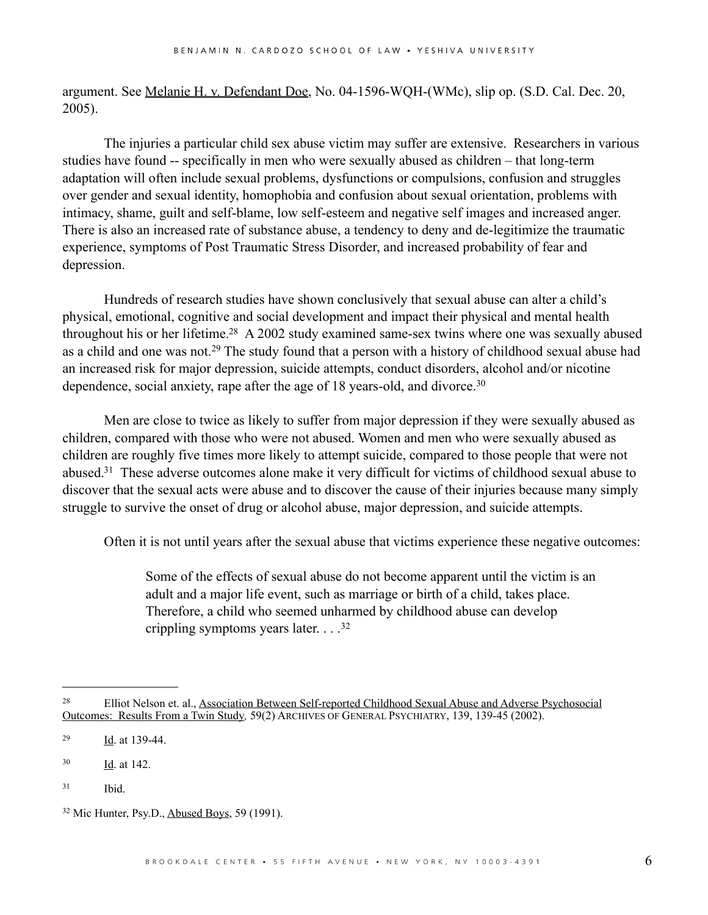argument. See <u>Melanie H. v. Defendant Doe</u>, No. 04-1596-WQH-(WMc), slip op. (S.D. Cal. Dec. 20, 2005).

The injuries a particular child sex abuse victim may suffer are extensive. Researchers in various studies have found -- specifically in men who were sexually abused as children – that long-term adaptation will often include sexual problems, dysfunctions or compulsions, confusion and struggles over gender and sexual identity, homophobia and confusion about sexual orientation, problems with intimacy, shame, guilt and self-blame, low self-esteem and negative self images and increased anger. There is also an increased rate of substance abuse, a tendency to deny and de-legitimize the traumatic experience, symptoms of Post Traumatic Stress Disorder, and increased probability of fear and depression.

Hundreds of research studies have shown conclusively that sexual abuse can alter a child's physical, emotional, cognitive and social development and impact their physical and mental health throughout his or her lifetime[.28](#page-5-0) A 2002 study examined same-sex twins where one was sexually abused as a child and one was not.[29](#page-5-1) The study found that a person with a history of childhood sexual abuse had an increased risk for major depression, suicide attempts, conduct disorders, alcohol and/or nicotine dependence, social anxiety, rape after the age of 18 years-old, and divorce.<sup>30</sup>

Men are close to twice as likely to suffer from major depression if they were sexually abused as children, compared with those who were not abused. Women and men who were sexually abused as children are roughly five times more likely to attempt suicide, compared to those people that were not abused[.31](#page-5-3) These adverse outcomes alone make it very difficult for victims of childhood sexual abuse to discover that the sexual acts were abuse and to discover the cause of their injuries because many simply struggle to survive the onset of drug or alcohol abuse, major depression, and suicide attempts.

Often it is not until years after the sexual abuse that victims experience these negative outcomes:

Some of the effects of sexual abuse do not become apparent until the victim is an adult and a major life event, such as marriage or birth of a child, takes place. Therefore, a child who seemed unharmed by childhood abuse can develop crippling symptoms years later. . . .[32](#page-5-4)

<span id="page-5-3"></span>31 Ibid.

<span id="page-5-0"></span><sup>28</sup> Elliot Nelson et. al., Association Between Self-reported Childhood Sexual Abuse and Adverse Psychosocial Outcomes: Results From a Twin Study*,* 59(2) ARCHIVES OF GENERAL PSYCHIATRY, 139, 139-45 (2002).

<span id="page-5-1"></span> $\frac{1}{d}$ . at 139-44.

<span id="page-5-2"></span><sup>30</sup> Id. at 142.

<span id="page-5-4"></span><sup>32</sup> Mic Hunter, Psy.D., Abused Boys, 59 (1991).